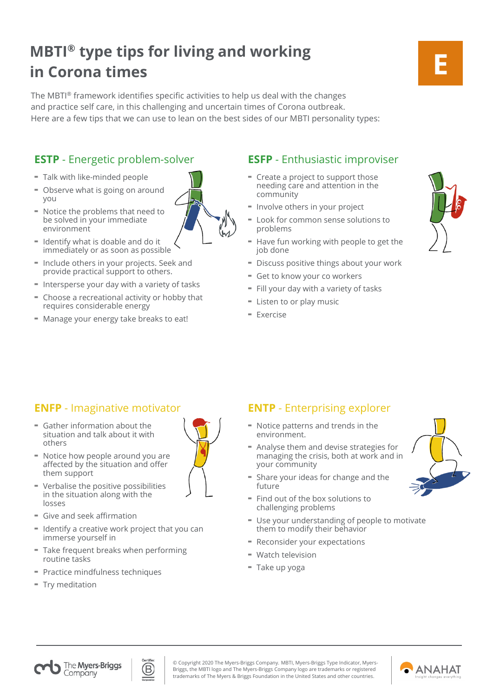# **MBTI® type tips for living and working in Corona times**

The MBTI® framework identifies specific activities to help us deal with the changes and practice self care, in this challenging and uncertain times of Corona outbreak. Here are a few tips that we can use to lean on the best sides of our MBTI personality types:

## **ESTP** - Energetic problem-solver **ESFP** - Enthusiastic improviser

- Talk with like-minded people
- Observe what is going on around you
- Notice the problems that need to be solved in your immediate environment
- Identify what is doable and do it immediately or as soon as possible
- Include others in your projects. Seek and provide practical support to others.
- Intersperse your day with a variety of tasks
- Choose a recreational activity or hobby that requires considerable energy
- Manage your energy take breaks to eat!

- Create a project to support those needing care and attention in the community
- Involve others in your project
- Look for common sense solutions to problems
- Have fun working with people to get the job done
- Discuss positive things about your work
- Get to know your co workers
- Fill your day with a variety of tasks
- Listen to or play music
- Exercise

**E**

## **ENFP** - Imaginative motivator **ENTP** - Enterprising explorer

- Gather information about the situation and talk about it with others
- Notice how people around you are affected by the situation and offer them support
- Verbalise the positive possibilities in the situation along with the losses
- Give and seek affirmation
- Identify a creative work project that you can immerse yourself in
- Take frequent breaks when performing routine tasks
- Practice mindfulness techniques
- Try meditation



- Notice patterns and trends in the environment.
- Analyse them and devise strategies for managing the crisis, both at work and in your community
- Share your ideas for change and the future
- Find out of the box solutions to challenging problems
- Use your understanding of people to motivate them to modify their behavior
- Reconsider your expectations
- Watch television
- Take up yoga





© Copyright 2020 The Myers-Briggs Company. MBTI, Myers-Briggs Type Indicator, Myers-Briggs, the MBTI logo and The Myers-Briggs Company logo are trademarks or registered trademarks of The Myers & Briggs Foundation in the United States and other countries.

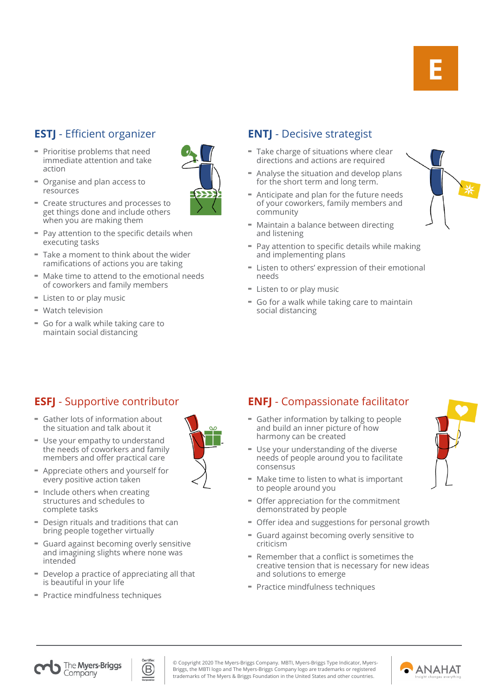- Prioritise problems that need immediate attention and take action
- Organise and plan access to resources
- Create structures and processes to get things done and include others when you are making them
- Pay attention to the specific details when executing tasks
- Take a moment to think about the wider ramifications of actions you are taking
- Make time to attend to the emotional needs of coworkers and family members
- Listen to or play music
- Watch television
- Go for a walk while taking care to maintain social distancing

## **ESTJ** - Efficient organizer **ENTJ** - Decisive strategist

- Take charge of situations where clear directions and actions are required
- Analyse the situation and develop plans for the short term and long term.
- Anticipate and plan for the future needs of your coworkers, family members and community
- Maintain a balance between directing and listening
- Pay attention to specific details while making and implementing plans
- Listen to others' expression of their emotional needs
- Listen to or play music
- Go for a walk while taking care to maintain social distancing

- Gather lots of information about the situation and talk about it
- Use your empathy to understand the needs of coworkers and family members and offer practical care
- Appreciate others and yourself for every positive action taken
- Include others when creating structures and schedules to complete tasks
- Design rituals and traditions that can bring people together virtually
- Guard against becoming overly sensitive and imagining slights where none was intended
- Develop a practice of appreciating all that is beautiful in your life
- Practice mindfulness techniques



## **ESFJ** - Supportive contributor **ENFJ** - Compassionate facilitator

- Gather information by talking to people and build an inner picture of how harmony can be created
- Use your understanding of the diverse needs of people around you to facilitate consensus
- Make time to listen to what is important to people around you
- Offer appreciation for the commitment demonstrated by people
- Offer idea and suggestions for personal growth
- Guard against becoming overly sensitive to criticism
- Remember that a conflict is sometimes the creative tension that is necessary for new ideas and solutions to emerge
- Practice mindfulness techniques



The Myers-Briggs Company



© Copyright 2020 The Myers-Briggs Company. MBTI, Myers-Briggs Type Indicator, Myers-Briggs, the MBTI logo and The Myers-Briggs Company logo are trademarks or registered trademarks of The Myers & Briggs Foundation in the United States and other countries.

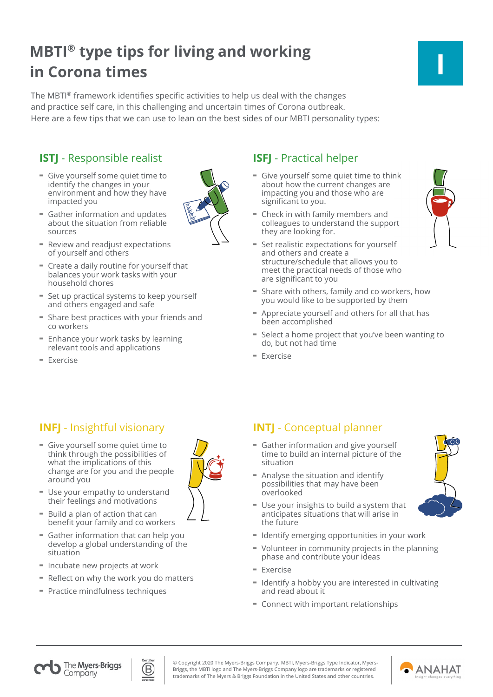# **MBTI® type tips for living and working in Corona times**

The MBTI® framework identifies specific activities to help us deal with the changes and practice self care, in this challenging and uncertain times of Corona outbreak. Here are a few tips that we can use to lean on the best sides of our MBTI personality types:

## **ISTJ** - Responsible realist **ISFJ** - Practical helper

- Give yourself some quiet time to identify the changes in your environment and how they have impacted you
- Gather information and updates about the situation from reliable sources
- Review and readjust expectations of yourself and others
- Create a daily routine for yourself that balances your work tasks with your household chores
- Set up practical systems to keep yourself and others engaged and safe
- Share best practices with your friends and co workers
- Enhance your work tasks by learning relevant tools and applications
- Exercise

- Give yourself some quiet time to think about how the current changes are impacting you and those who are significant to you.
- Check in with family members and colleagues to understand the support they are looking for.
- Set realistic expectations for yourself and others and create a structure/schedule that allows you to meet the practical needs of those who are significant to you
- Share with others, family and co workers, how you would like to be supported by them
- Appreciate yourself and others for all that has been accomplished
- Select a home project that you've been wanting to do, but not had time
- Exercise

- Give yourself some quiet time to think through the possibilities of what the implications of this change are for you and the people around you
- Use your empathy to understand their feelings and motivations
- Build a plan of action that can benefit your family and co workers
- Gather information that can help you develop a global understanding of the situation
- Incubate new projects at work
- Reflect on why the work you do matters
- Practice mindfulness techniques

## **INFJ** - Insightful visionary **INTJ** - Conceptual planner

- Gather information and give yourself time to build an internal picture of the situation
- Analyse the situation and identify possibilities that may have been overlooked
- Use your insights to build a system that anticipates situations that will arise in the future
- Identify emerging opportunities in your work
- Volunteer in community projects in the planning phase and contribute your ideas
- $=$  Exercise
- Identify a hobby you are interested in cultivating and read about it
- Connect with important relationships















© Copyright 2020 The Myers-Briggs Company. MBTI, Myers-Briggs Type Indicator, Myers-